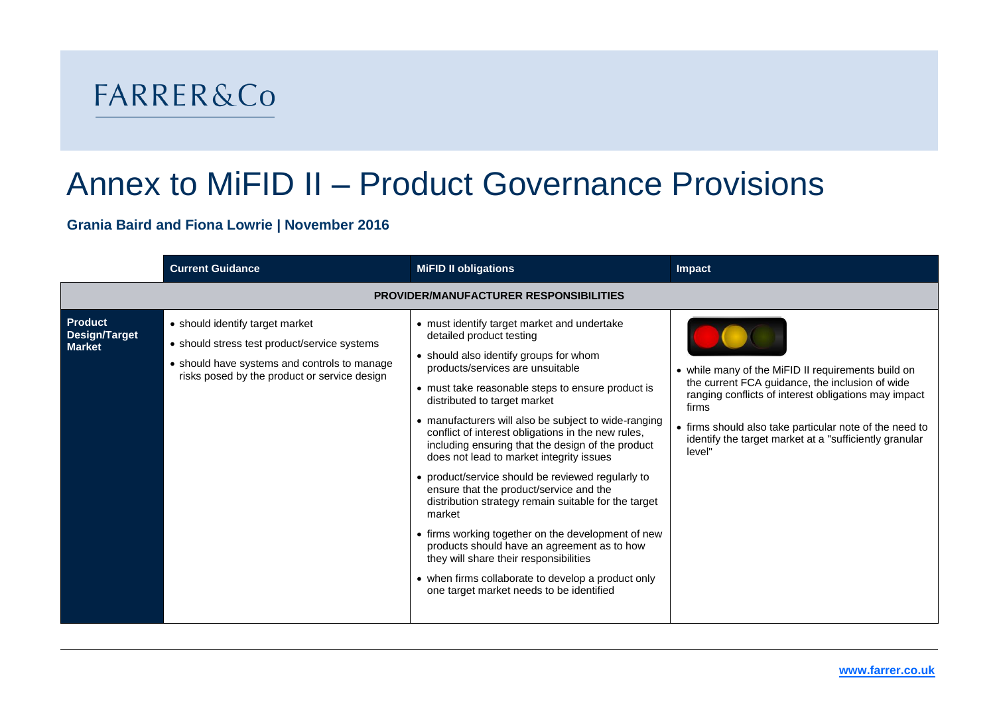## **FARRER&Co**

## Annex to MiFID II – Product Governance Provisions

## **Grania Baird and Fiona Lowrie | November 2016**

|                                                         | <b>Current Guidance</b>                                                                                                                                                         | <b>MiFID II obligations</b>                                                                                                                                                                                                                                                                                                                                                                                                                                                                                                                                                                                                                                                                                                                                                                                                                                                  | Impact                                                                                                                                                                                                                                                                                                |  |  |
|---------------------------------------------------------|---------------------------------------------------------------------------------------------------------------------------------------------------------------------------------|------------------------------------------------------------------------------------------------------------------------------------------------------------------------------------------------------------------------------------------------------------------------------------------------------------------------------------------------------------------------------------------------------------------------------------------------------------------------------------------------------------------------------------------------------------------------------------------------------------------------------------------------------------------------------------------------------------------------------------------------------------------------------------------------------------------------------------------------------------------------------|-------------------------------------------------------------------------------------------------------------------------------------------------------------------------------------------------------------------------------------------------------------------------------------------------------|--|--|
| <b>PROVIDER/MANUFACTURER RESPONSIBILITIES</b>           |                                                                                                                                                                                 |                                                                                                                                                                                                                                                                                                                                                                                                                                                                                                                                                                                                                                                                                                                                                                                                                                                                              |                                                                                                                                                                                                                                                                                                       |  |  |
| <b>Product</b><br><b>Design/Target</b><br><b>Market</b> | • should identify target market<br>• should stress test product/service systems<br>• should have systems and controls to manage<br>risks posed by the product or service design | • must identify target market and undertake<br>detailed product testing<br>• should also identify groups for whom<br>products/services are unsuitable<br>• must take reasonable steps to ensure product is<br>distributed to target market<br>• manufacturers will also be subject to wide-ranging<br>conflict of interest obligations in the new rules,<br>including ensuring that the design of the product<br>does not lead to market integrity issues<br>• product/service should be reviewed regularly to<br>ensure that the product/service and the<br>distribution strategy remain suitable for the target<br>market<br>• firms working together on the development of new<br>products should have an agreement as to how<br>they will share their responsibilities<br>• when firms collaborate to develop a product only<br>one target market needs to be identified | • while many of the MiFID II requirements build on<br>the current FCA guidance, the inclusion of wide<br>ranging conflicts of interest obligations may impact<br>firms<br>• firms should also take particular note of the need to<br>identify the target market at a "sufficiently granular<br>level" |  |  |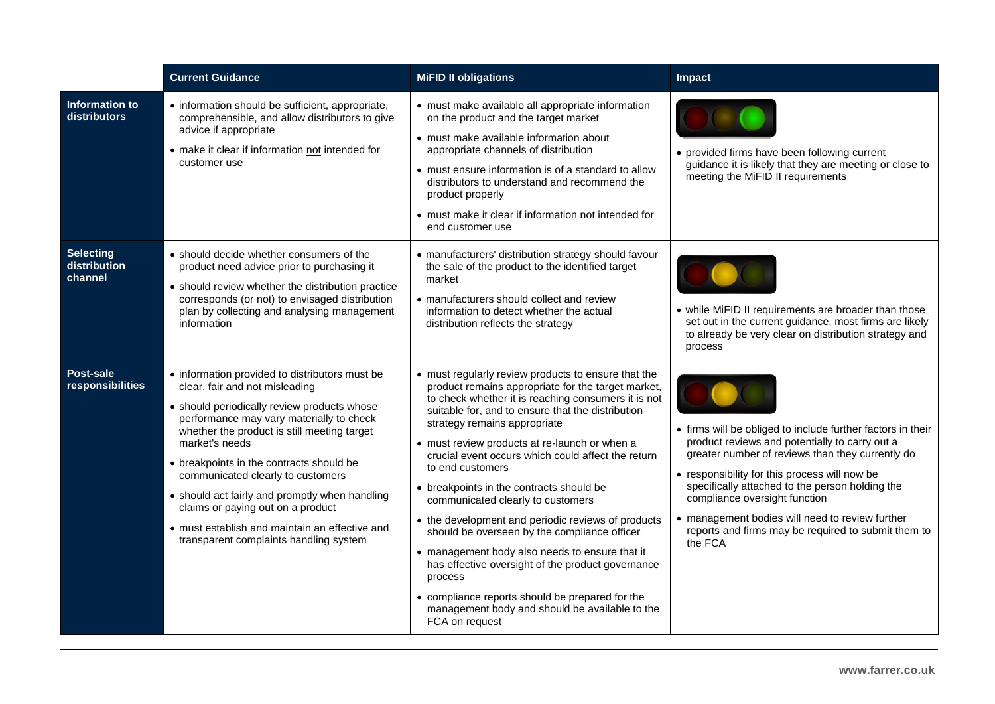|                                              | <b>Current Guidance</b>                                                                                                                                                                                                                                                                                                                                                                                                                                                                                          | <b>MiFID II obligations</b>                                                                                                                                                                                                                                                                                                                                                                                                                                                                                                                                                                                                                                                                                                                                                                                      | Impact                                                                                                                                                                                                                                                                                                                                                                                                                      |
|----------------------------------------------|------------------------------------------------------------------------------------------------------------------------------------------------------------------------------------------------------------------------------------------------------------------------------------------------------------------------------------------------------------------------------------------------------------------------------------------------------------------------------------------------------------------|------------------------------------------------------------------------------------------------------------------------------------------------------------------------------------------------------------------------------------------------------------------------------------------------------------------------------------------------------------------------------------------------------------------------------------------------------------------------------------------------------------------------------------------------------------------------------------------------------------------------------------------------------------------------------------------------------------------------------------------------------------------------------------------------------------------|-----------------------------------------------------------------------------------------------------------------------------------------------------------------------------------------------------------------------------------------------------------------------------------------------------------------------------------------------------------------------------------------------------------------------------|
| <b>Information to</b><br><b>distributors</b> | • information should be sufficient, appropriate,<br>comprehensible, and allow distributors to give<br>advice if appropriate<br>• make it clear if information not intended for<br>customer use                                                                                                                                                                                                                                                                                                                   | • must make available all appropriate information<br>on the product and the target market<br>• must make available information about<br>appropriate channels of distribution<br>• must ensure information is of a standard to allow<br>distributors to understand and recommend the<br>product properly<br>• must make it clear if information not intended for<br>end customer use                                                                                                                                                                                                                                                                                                                                                                                                                              | • provided firms have been following current<br>guidance it is likely that they are meeting or close to<br>meeting the MiFID II requirements                                                                                                                                                                                                                                                                                |
| <b>Selecting</b><br>distribution<br>channel  | • should decide whether consumers of the<br>product need advice prior to purchasing it<br>• should review whether the distribution practice<br>corresponds (or not) to envisaged distribution<br>plan by collecting and analysing management<br>information                                                                                                                                                                                                                                                      | · manufacturers' distribution strategy should favour<br>the sale of the product to the identified target<br>market<br>• manufacturers should collect and review<br>information to detect whether the actual<br>distribution reflects the strategy                                                                                                                                                                                                                                                                                                                                                                                                                                                                                                                                                                | • while MiFID II requirements are broader than those<br>set out in the current guidance, most firms are likely<br>to already be very clear on distribution strategy and<br>process                                                                                                                                                                                                                                          |
| Post-sale<br>responsibilities                | • information provided to distributors must be<br>clear, fair and not misleading<br>• should periodically review products whose<br>performance may vary materially to check<br>whether the product is still meeting target<br>market's needs<br>• breakpoints in the contracts should be<br>communicated clearly to customers<br>• should act fairly and promptly when handling<br>claims or paying out on a product<br>• must establish and maintain an effective and<br>transparent complaints handling system | • must regularly review products to ensure that the<br>product remains appropriate for the target market,<br>to check whether it is reaching consumers it is not<br>suitable for, and to ensure that the distribution<br>strategy remains appropriate<br>• must review products at re-launch or when a<br>crucial event occurs which could affect the return<br>to end customers<br>• breakpoints in the contracts should be<br>communicated clearly to customers<br>• the development and periodic reviews of products<br>should be overseen by the compliance officer<br>• management body also needs to ensure that it<br>has effective oversight of the product governance<br>process<br>• compliance reports should be prepared for the<br>management body and should be available to the<br>FCA on request | • firms will be obliged to include further factors in their<br>product reviews and potentially to carry out a<br>greater number of reviews than they currently do<br>• responsibility for this process will now be<br>specifically attached to the person holding the<br>compliance oversight function<br>• management bodies will need to review further<br>reports and firms may be required to submit them to<br>the FCA |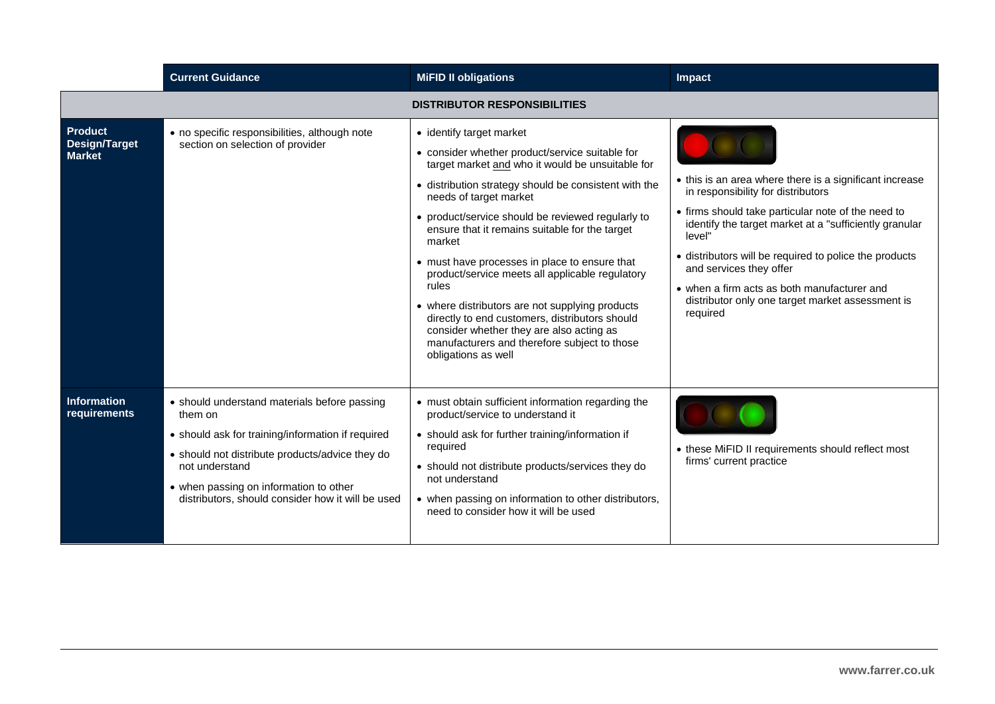|                                                         | <b>Current Guidance</b>                                                                                                                                                                                                                                                          | <b>MiFID II obligations</b>                                                                                                                                                                                                                                                                                                                                                                                                                                                                                                                                                                                                                                              | Impact                                                                                                                                                                                                                                                                                                                                                                                                                      |  |  |
|---------------------------------------------------------|----------------------------------------------------------------------------------------------------------------------------------------------------------------------------------------------------------------------------------------------------------------------------------|--------------------------------------------------------------------------------------------------------------------------------------------------------------------------------------------------------------------------------------------------------------------------------------------------------------------------------------------------------------------------------------------------------------------------------------------------------------------------------------------------------------------------------------------------------------------------------------------------------------------------------------------------------------------------|-----------------------------------------------------------------------------------------------------------------------------------------------------------------------------------------------------------------------------------------------------------------------------------------------------------------------------------------------------------------------------------------------------------------------------|--|--|
| <b>DISTRIBUTOR RESPONSIBILITIES</b>                     |                                                                                                                                                                                                                                                                                  |                                                                                                                                                                                                                                                                                                                                                                                                                                                                                                                                                                                                                                                                          |                                                                                                                                                                                                                                                                                                                                                                                                                             |  |  |
| <b>Product</b><br><b>Design/Target</b><br><b>Market</b> | • no specific responsibilities, although note<br>section on selection of provider                                                                                                                                                                                                | • identify target market<br>• consider whether product/service suitable for<br>target market and who it would be unsuitable for<br>· distribution strategy should be consistent with the<br>needs of target market<br>• product/service should be reviewed regularly to<br>ensure that it remains suitable for the target<br>market<br>• must have processes in place to ensure that<br>product/service meets all applicable regulatory<br>rules<br>• where distributors are not supplying products<br>directly to end customers, distributors should<br>consider whether they are also acting as<br>manufacturers and therefore subject to those<br>obligations as well | • this is an area where there is a significant increase<br>in responsibility for distributors<br>• firms should take particular note of the need to<br>identify the target market at a "sufficiently granular<br>level"<br>• distributors will be required to police the products<br>and services they offer<br>• when a firm acts as both manufacturer and<br>distributor only one target market assessment is<br>required |  |  |
| <b>Information</b><br>requirements                      | • should understand materials before passing<br>them on<br>• should ask for training/information if required<br>• should not distribute products/advice they do<br>not understand<br>• when passing on information to other<br>distributors, should consider how it will be used | • must obtain sufficient information regarding the<br>product/service to understand it<br>• should ask for further training/information if<br>required<br>• should not distribute products/services they do<br>not understand<br>• when passing on information to other distributors,<br>need to consider how it will be used                                                                                                                                                                                                                                                                                                                                            | • these MiFID II requirements should reflect most<br>firms' current practice                                                                                                                                                                                                                                                                                                                                                |  |  |